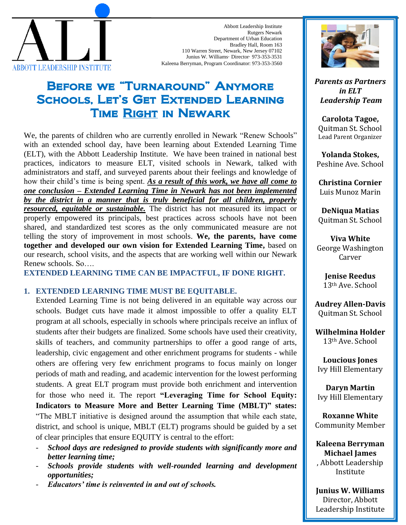

Abbott Leadership Institute Rutgers Newark Department of Urban Education Bradley Hall, Room 163 110 Warren Street, Newark, New Jersey 07102 Junius W. Williams· Director· 973-353-3531 Kaleena Berryman, Program Coordinator: 973-353-3560

## Before we "Turnaround" Anymore Schools, Let's Get Extended Learning Time Right in Newark

We, the parents of children who are currently enrolled in Newark "Renew Schools" with an extended school day, have been learning about Extended Learning Time (ELT), with the Abbott Leadership Institute. We have been trained in national best practices, indicators to measure ELT, visited schools in Newark, talked with administrators and staff, and surveyed parents about their feelings and knowledge of how their child's time is being spent. *As a result of this work, we have all come to one conclusion – Extended Learning Time in Newark has not been implemented by the district in a manner that is truly beneficial for all children, properly resourced, equitable or sustainable.* The district has not measured its impact or properly empowered its principals, best practices across schools have not been shared, and standardized test scores as the only communicated measure are not telling the story of improvement in most schools. **We, the parents, have come together and developed our own vision for Extended Learning Time,** based on our research, school visits, and the aspects that are working well within our Newark Renew schools. So….

**EXTENDED LEARNING TIME CAN BE IMPACTFUL, IF DONE RIGHT.** 

## **1. EXTENDED LEARNING TIME MUST BE EQUITABLE.**

Extended Learning Time is not being delivered in an equitable way across our schools. Budget cuts have made it almost impossible to offer a quality ELT program at all schools, especially in schools where principals receive an influx of students after their budgets are finalized. Some schools have used their creativity, skills of teachers, and community partnerships to offer a good range of arts, leadership, civic engagement and other enrichment programs for students - while others are offering very few enrichment programs to focus mainly on longer periods of math and reading, and academic intervention for the lowest performing students. A great ELT program must provide both enrichment and intervention for those who need it. The report **"Leveraging Time for School Equity: Indicators to Measure More and Better Learning Time (MBLT)" states:** "The MBLT initiative is designed around the assumption that while each state, district, and school is unique, MBLT (ELT) programs should be guided by a set of clear principles that ensure EQUITY is central to the effort:

- *School days are redesigned to provide students with significantly more and better learning time;*
- *Schools provide students with well-rounded learning and development opportunities;*
- *Educators' time is reinvented in and out of schools.*



*Parents as Partners in ELT Leadership Team*

**Carolota Tagoe,** Quitman St. School Lead Parent Organizer

**Yolanda Stokes,** Peshine Ave. School

**Christina Cornier**  Luis Munoz Marin

**DeNiqua Matias** Quitman St. School

**Viva White** George Washington Carver

> **Jenise Reedus** 13th Ave. School

**Audrey Allen-Davis** Quitman St. School

**Wilhelmina Holder** 13th Ave. School

**Loucious Jones** Ivy Hill Elementary

**Daryn Martin** Ivy Hill Elementary

**Roxanne White** Community Member

**Kaleena Berryman Michael James** , Abbott Leadership Institute

**Junius W. Williams** Director, Abbott Leadership Institute